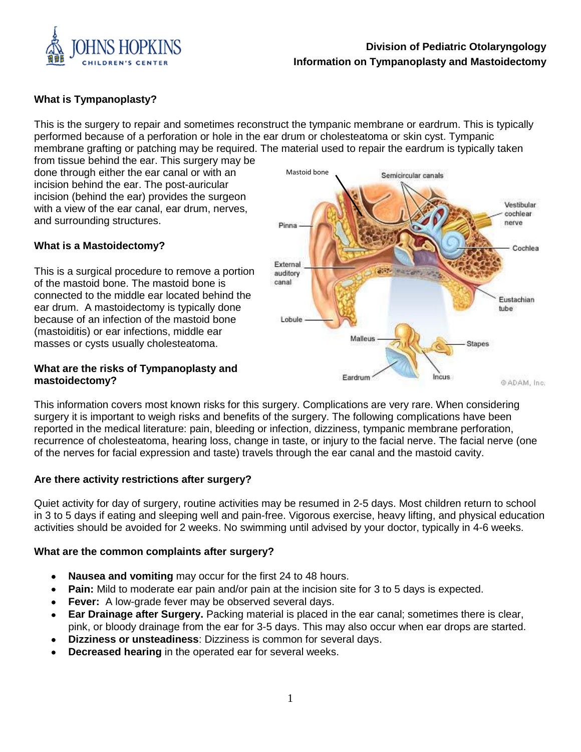

# **Division of Pediatric Otolaryngology Information on Tympanoplasty and Mastoidectomy**

# **What is Tympanoplasty?**

This is the surgery to repair and sometimes reconstruct the tympanic membrane or eardrum. This is typically performed because of a perforation or hole in the ear drum or cholesteatoma or skin cyst. Tympanic membrane grafting or patching may be required. The material used to repair the eardrum is typically taken

from tissue behind the ear. This surgery may be done through either the ear canal or with an incision behind the ear. The post-auricular incision (behind the ear) provides the surgeon with a view of the ear canal, ear drum, nerves, and surrounding structures.

# **What is a Mastoidectomy?**

This is a surgical procedure to remove a portion of the mastoid bone. The mastoid bone is connected to the middle ear located behind the ear drum. A mastoidectomy is typically done because of an infection of the mastoid bone (mastoiditis) or ear infections, middle ear masses or cysts usually cholesteatoma.

#### **What are the risks of Tympanoplasty and mastoidectomy?**



This information covers most known risks for this surgery. Complications are very rare. When considering surgery it is important to weigh risks and benefits of the surgery. The following complications have been reported in the medical literature: pain, bleeding or infection, dizziness, tympanic membrane perforation, recurrence of cholesteatoma, hearing loss, change in taste, or injury to the facial nerve. The facial nerve (one of the nerves for facial expression and taste) travels through the ear canal and the mastoid cavity.

#### **Are there activity restrictions after surgery?**

Quiet activity for day of surgery, routine activities may be resumed in 2-5 days. Most children return to school in 3 to 5 days if eating and sleeping well and pain-free. Vigorous exercise, heavy lifting, and physical education activities should be avoided for 2 weeks. No swimming until advised by your doctor, typically in 4-6 weeks.

#### **What are the common complaints after surgery?**

- **Nausea and vomiting** may occur for the first 24 to 48 hours.
- **Pain:** Mild to moderate ear pain and/or pain at the incision site for 3 to 5 days is expected.
- **Fever:** A low-grade fever may be observed several days.
- **Ear Drainage after Surgery.** Packing material is placed in the ear canal; sometimes there is clear, pink, or bloody drainage from the ear for 3-5 days. This may also occur when ear drops are started.
- **Dizziness or unsteadiness**: Dizziness is common for several days.
- **Decreased hearing** in the operated ear for several weeks.